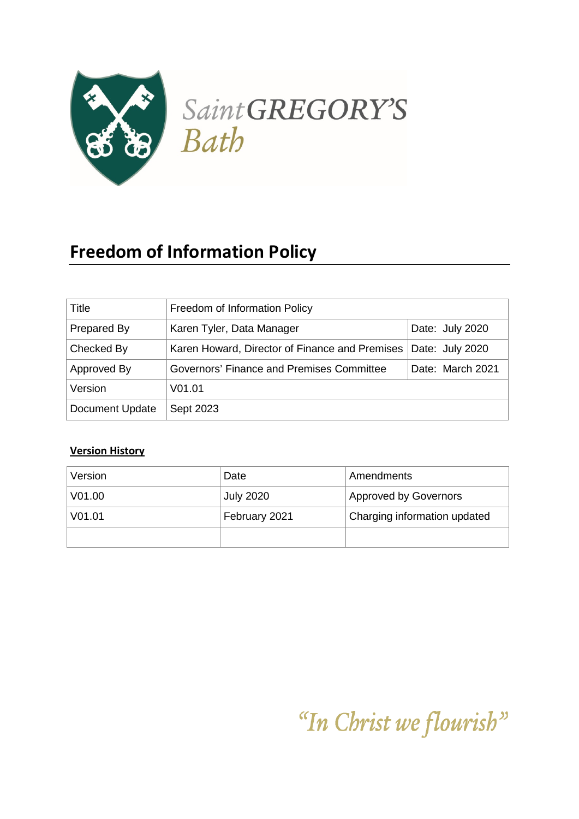

# **Freedom of Information Policy**

| Title           | Freedom of Information Policy                  |                  |
|-----------------|------------------------------------------------|------------------|
| Prepared By     | Karen Tyler, Data Manager                      | Date: July 2020  |
| Checked By      | Karen Howard, Director of Finance and Premises | Date: July 2020  |
| Approved By     | Governors' Finance and Premises Committee      | Date: March 2021 |
| Version         | V01.01                                         |                  |
| Document Update | Sept 2023                                      |                  |

#### **Version History**

| Version            | Date             | Amendments                   |
|--------------------|------------------|------------------------------|
| V01.00             | <b>July 2020</b> | <b>Approved by Governors</b> |
| V <sub>01.01</sub> | February 2021    | Charging information updated |
|                    |                  |                              |

"In Christ we flourish"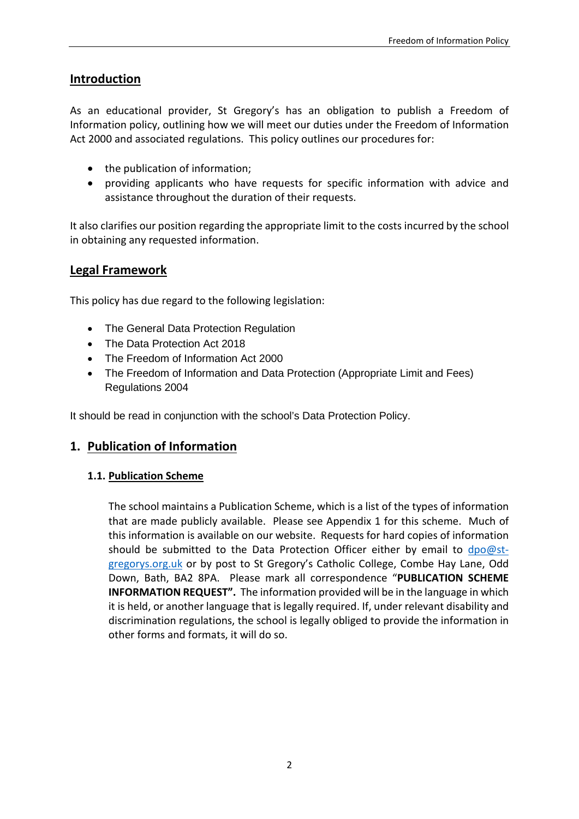#### **Introduction**

As an educational provider, St Gregory's has an obligation to publish a Freedom of Information policy, outlining how we will meet our duties under the Freedom of Information Act 2000 and associated regulations. This policy outlines our procedures for:

- the publication of information;
- providing applicants who have requests for specific information with advice and assistance throughout the duration of their requests.

It also clarifies our position regarding the appropriate limit to the costs incurred by the school in obtaining any requested information.

#### **Legal Framework**

This policy has due regard to the following legislation:

- The General Data Protection Regulation
- The Data Protection Act 2018
- The Freedom of Information Act 2000
- The Freedom of Information and Data Protection (Appropriate Limit and Fees) Regulations 2004

It should be read in conjunction with the school's Data Protection Policy.

#### **1. Publication of Information**

#### **1.1. Publication Scheme**

The school maintains a Publication Scheme, which is a list of the types of information that are made publicly available. Please see Appendix 1 for this scheme. Much of this information is available on our website. Requests for hard copies of information should be submitted to the Data Protection Officer either by email to [dpo@st](mailto:dpo@st-gregorys.org.uk)[gregorys.org.uk](mailto:dpo@st-gregorys.org.uk) or by post to St Gregory's Catholic College, Combe Hay Lane, Odd Down, Bath, BA2 8PA. Please mark all correspondence "**PUBLICATION SCHEME INFORMATION REQUEST".** The information provided will be in the language in which it is held, or another language that is legally required. If, under relevant disability and discrimination regulations, the school is legally obliged to provide the information in other forms and formats, it will do so.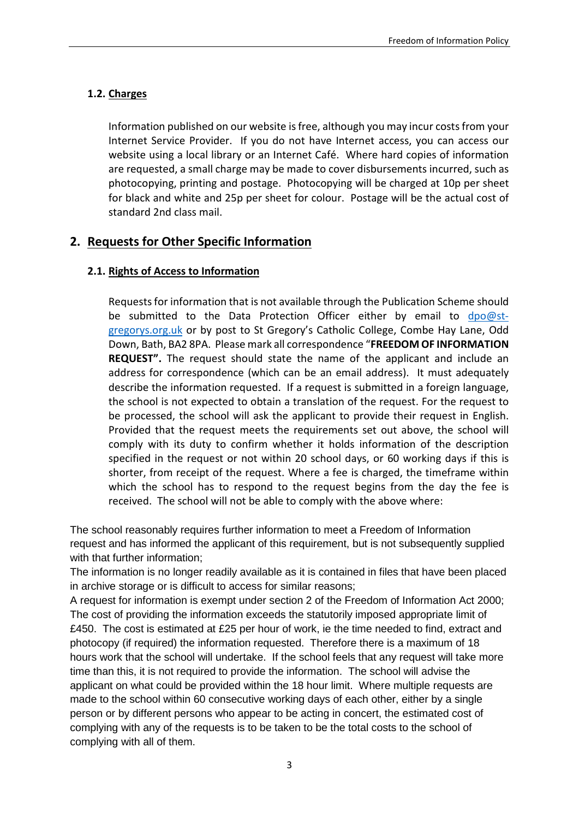#### **1.2. Charges**

Information published on our website is free, although you may incur costs from your Internet Service Provider. If you do not have Internet access, you can access our website using a local library or an Internet Café. Where hard copies of information are requested, a small charge may be made to cover disbursements incurred, such as photocopying, printing and postage. Photocopying will be charged at 10p per sheet for black and white and 25p per sheet for colour. Postage will be the actual cost of standard 2nd class mail.

#### **2. Requests for Other Specific Information**

#### **2.1. Rights of Access to Information**

Requests for information that is not available through the Publication Scheme should be submitted to the Data Protection Officer either by email to [dpo@st](mailto:dpo@st-gregorys.org.uk)[gregorys.org.uk](mailto:dpo@st-gregorys.org.uk) or by post to St Gregory's Catholic College, Combe Hay Lane, Odd Down, Bath, BA2 8PA. Please mark all correspondence "**FREEDOM OF INFORMATION REQUEST".** The request should state the name of the applicant and include an address for correspondence (which can be an email address). It must adequately describe the information requested. If a request is submitted in a foreign language, the school is not expected to obtain a translation of the request. For the request to be processed, the school will ask the applicant to provide their request in English. Provided that the request meets the requirements set out above, the school will comply with its duty to confirm whether it holds information of the description specified in the request or not within 20 school days, or 60 working days if this is shorter, from receipt of the request. Where a fee is charged, the timeframe within which the school has to respond to the request begins from the day the fee is received. The school will not be able to comply with the above where:

The school reasonably requires further information to meet a Freedom of Information request and has informed the applicant of this requirement, but is not subsequently supplied with that further information;

The information is no longer readily available as it is contained in files that have been placed in archive storage or is difficult to access for similar reasons;

A request for information is exempt under section 2 of the Freedom of Information Act 2000; The cost of providing the information exceeds the statutorily imposed appropriate limit of £450. The cost is estimated at £25 per hour of work, ie the time needed to find, extract and photocopy (if required) the information requested. Therefore there is a maximum of 18 hours work that the school will undertake. If the school feels that any request will take more time than this, it is not required to provide the information. The school will advise the applicant on what could be provided within the 18 hour limit. Where multiple requests are made to the school within 60 consecutive working days of each other, either by a single person or by different persons who appear to be acting in concert, the estimated cost of complying with any of the requests is to be taken to be the total costs to the school of complying with all of them.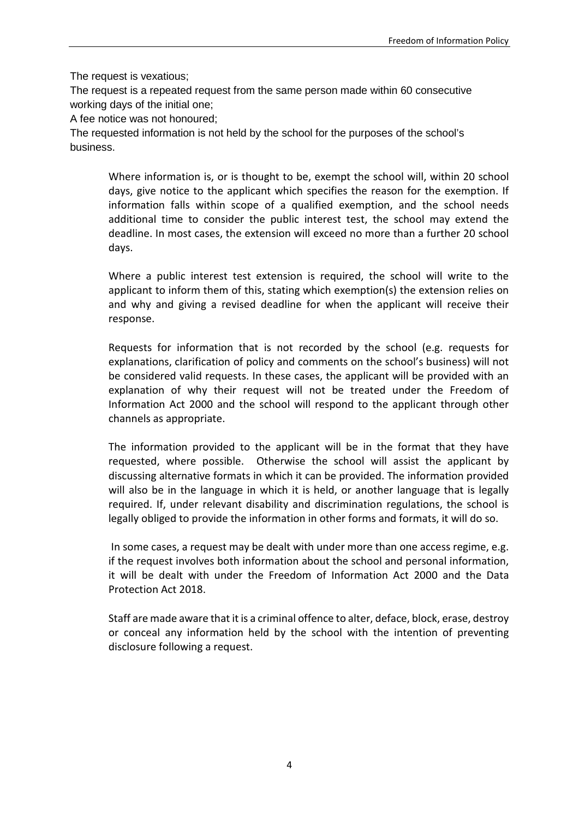The request is vexatious;

The request is a repeated request from the same person made within 60 consecutive working days of the initial one;

A fee notice was not honoured;

The requested information is not held by the school for the purposes of the school's business.

Where information is, or is thought to be, exempt the school will, within 20 school days, give notice to the applicant which specifies the reason for the exemption. If information falls within scope of a qualified exemption, and the school needs additional time to consider the public interest test, the school may extend the deadline. In most cases, the extension will exceed no more than a further 20 school days.

Where a public interest test extension is required, the school will write to the applicant to inform them of this, stating which exemption(s) the extension relies on and why and giving a revised deadline for when the applicant will receive their response.

Requests for information that is not recorded by the school (e.g. requests for explanations, clarification of policy and comments on the school's business) will not be considered valid requests. In these cases, the applicant will be provided with an explanation of why their request will not be treated under the Freedom of Information Act 2000 and the school will respond to the applicant through other channels as appropriate.

The information provided to the applicant will be in the format that they have requested, where possible. Otherwise the school will assist the applicant by discussing alternative formats in which it can be provided. The information provided will also be in the language in which it is held, or another language that is legally required. If, under relevant disability and discrimination regulations, the school is legally obliged to provide the information in other forms and formats, it will do so.

In some cases, a request may be dealt with under more than one access regime, e.g. if the request involves both information about the school and personal information, it will be dealt with under the Freedom of Information Act 2000 and the Data Protection Act 2018.

Staff are made aware that it is a criminal offence to alter, deface, block, erase, destroy or conceal any information held by the school with the intention of preventing disclosure following a request.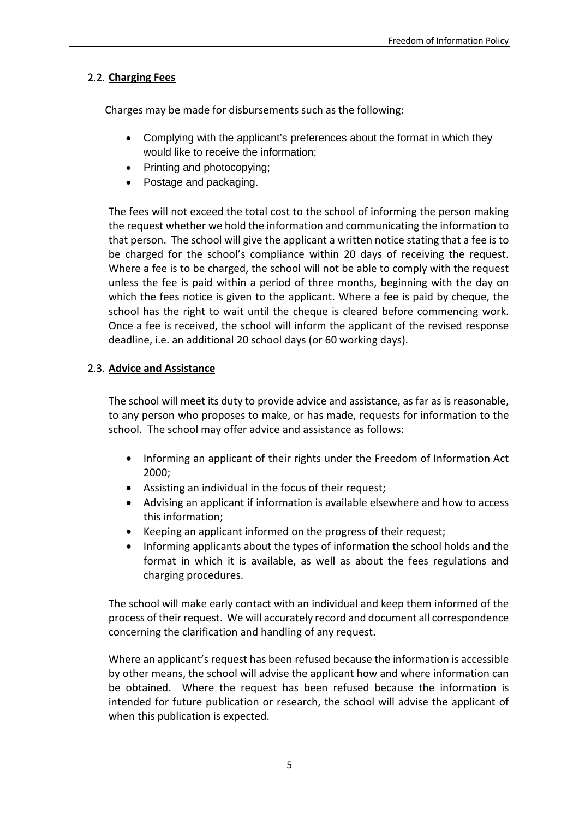#### 2.2. **Charging Fees**

Charges may be made for disbursements such as the following:

- Complying with the applicant's preferences about the format in which they would like to receive the information;
- Printing and photocopying:
- Postage and packaging.

The fees will not exceed the total cost to the school of informing the person making the request whether we hold the information and communicating the information to that person. The school will give the applicant a written notice stating that a fee is to be charged for the school's compliance within 20 days of receiving the request. Where a fee is to be charged, the school will not be able to comply with the request unless the fee is paid within a period of three months, beginning with the day on which the fees notice is given to the applicant. Where a fee is paid by cheque, the school has the right to wait until the cheque is cleared before commencing work. Once a fee is received, the school will inform the applicant of the revised response deadline, i.e. an additional 20 school days (or 60 working days).

#### 2.3. **Advice and Assistance**

The school will meet its duty to provide advice and assistance, as far as is reasonable, to any person who proposes to make, or has made, requests for information to the school. The school may offer advice and assistance as follows:

- Informing an applicant of their rights under the Freedom of Information Act 2000;
- Assisting an individual in the focus of their request;
- Advising an applicant if information is available elsewhere and how to access this information;
- Keeping an applicant informed on the progress of their request;
- Informing applicants about the types of information the school holds and the format in which it is available, as well as about the fees regulations and charging procedures.

The school will make early contact with an individual and keep them informed of the process of their request. We will accurately record and document all correspondence concerning the clarification and handling of any request.

Where an applicant's request has been refused because the information is accessible by other means, the school will advise the applicant how and where information can be obtained. Where the request has been refused because the information is intended for future publication or research, the school will advise the applicant of when this publication is expected.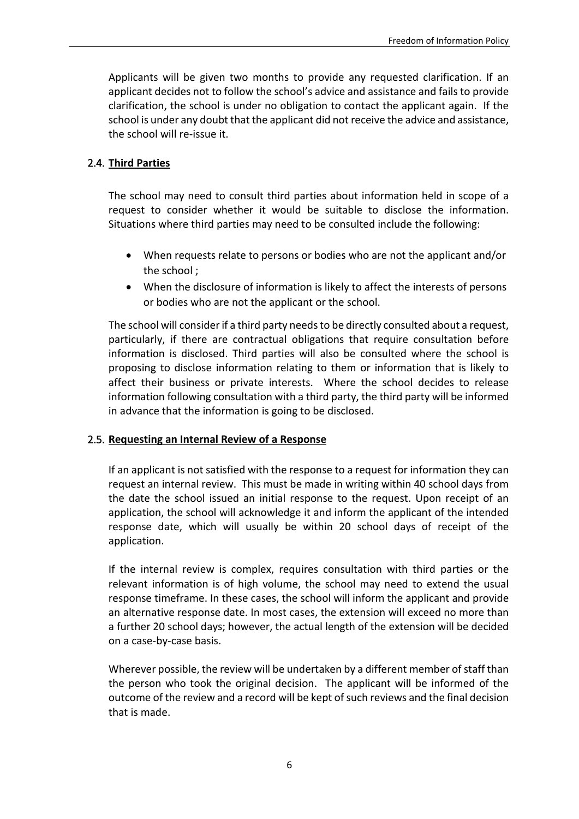Applicants will be given two months to provide any requested clarification. If an applicant decides not to follow the school's advice and assistance and fails to provide clarification, the school is under no obligation to contact the applicant again. If the school is under any doubt that the applicant did not receive the advice and assistance, the school will re-issue it.

#### 2.4. **Third Parties**

The school may need to consult third parties about information held in scope of a request to consider whether it would be suitable to disclose the information. Situations where third parties may need to be consulted include the following:

- When requests relate to persons or bodies who are not the applicant and/or the school ;
- When the disclosure of information is likely to affect the interests of persons or bodies who are not the applicant or the school.

The school will consider if a third party needs to be directly consulted about a request, particularly, if there are contractual obligations that require consultation before information is disclosed. Third parties will also be consulted where the school is proposing to disclose information relating to them or information that is likely to affect their business or private interests. Where the school decides to release information following consultation with a third party, the third party will be informed in advance that the information is going to be disclosed.

#### 2.5. **Requesting an Internal Review of a Response**

If an applicant is not satisfied with the response to a request for information they can request an internal review. This must be made in writing within 40 school days from the date the school issued an initial response to the request. Upon receipt of an application, the school will acknowledge it and inform the applicant of the intended response date, which will usually be within 20 school days of receipt of the application.

If the internal review is complex, requires consultation with third parties or the relevant information is of high volume, the school may need to extend the usual response timeframe. In these cases, the school will inform the applicant and provide an alternative response date. In most cases, the extension will exceed no more than a further 20 school days; however, the actual length of the extension will be decided on a case-by-case basis.

Wherever possible, the review will be undertaken by a different member of staff than the person who took the original decision. The applicant will be informed of the outcome of the review and a record will be kept of such reviews and the final decision that is made.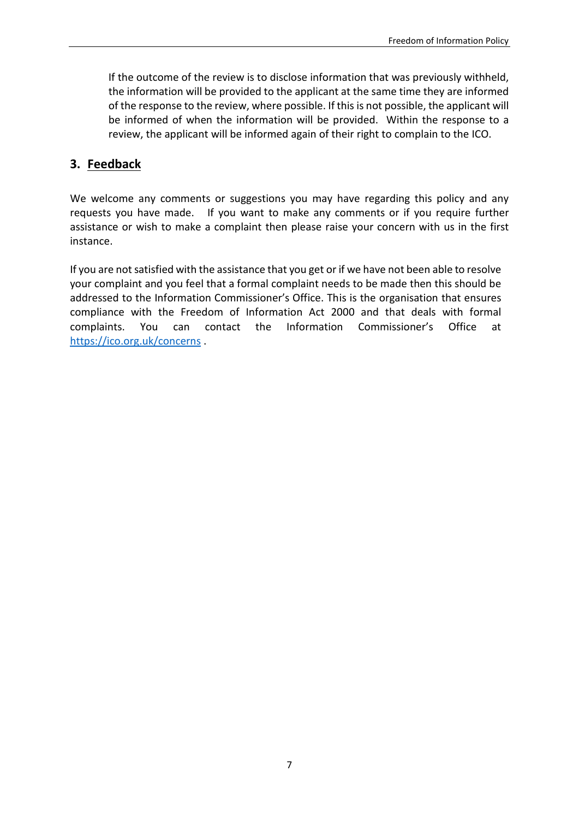If the outcome of the review is to disclose information that was previously withheld, the information will be provided to the applicant at the same time they are informed of the response to the review, where possible. If this is not possible, the applicant will be informed of when the information will be provided. Within the response to a review, the applicant will be informed again of their right to complain to the ICO.

#### **3. Feedback**

We welcome any comments or suggestions you may have regarding this policy and any requests you have made. If you want to make any comments or if you require further assistance or wish to make a complaint then please raise your concern with us in the first instance.

If you are not satisfied with the assistance that you get or if we have not been able to resolve your complaint and you feel that a formal complaint needs to be made then this should be addressed to the Information Commissioner's Office. This is the organisation that ensures compliance with the Freedom of Information Act 2000 and that deals with formal complaints. You can contact the Information Commissioner's Office at <https://ico.org.uk/concerns> .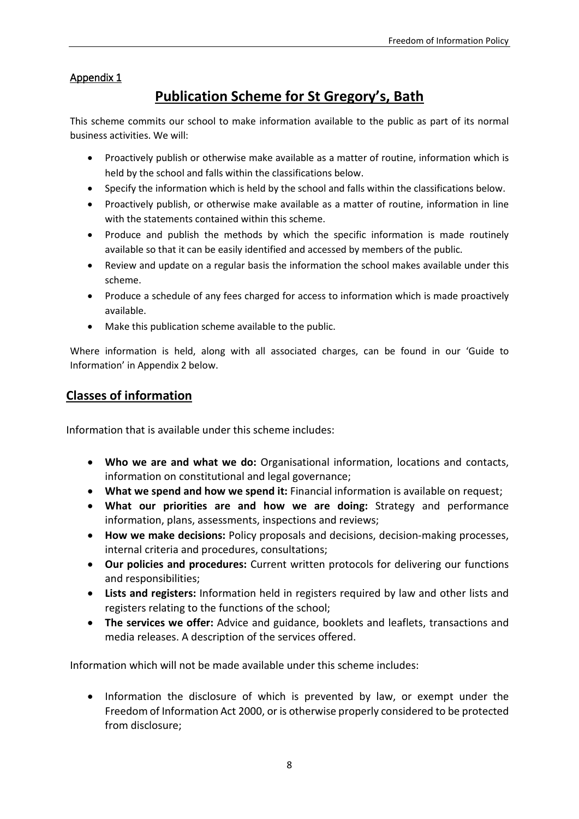#### Appendix 1

## **Publication Scheme for St Gregory's, Bath**

This scheme commits our school to make information available to the public as part of its normal business activities. We will:

- Proactively publish or otherwise make available as a matter of routine, information which is held by the school and falls within the classifications below.
- Specify the information which is held by the school and falls within the classifications below.
- Proactively publish, or otherwise make available as a matter of routine, information in line with the statements contained within this scheme.
- Produce and publish the methods by which the specific information is made routinely available so that it can be easily identified and accessed by members of the public.
- Review and update on a regular basis the information the school makes available under this scheme.
- Produce a schedule of any fees charged for access to information which is made proactively available.
- Make this publication scheme available to the public.

Where information is held, along with all associated charges, can be found in our 'Guide to Information' in Appendix 2 below.

#### **Classes of information**

Information that is available under this scheme includes:

- **Who we are and what we do:** Organisational information, locations and contacts, information on constitutional and legal governance;
- **What we spend and how we spend it:** Financial information is available on request;
- **What our priorities are and how we are doing:** Strategy and performance information, plans, assessments, inspections and reviews;
- **How we make decisions:** Policy proposals and decisions, decision-making processes, internal criteria and procedures, consultations;
- **Our policies and procedures:** Current written protocols for delivering our functions and responsibilities;
- **Lists and registers:** Information held in registers required by law and other lists and registers relating to the functions of the school;
- **The services we offer:** Advice and guidance, booklets and leaflets, transactions and media releases. A description of the services offered.

Information which will not be made available under this scheme includes:

• Information the disclosure of which is prevented by law, or exempt under the Freedom of Information Act 2000, or is otherwise properly considered to be protected from disclosure;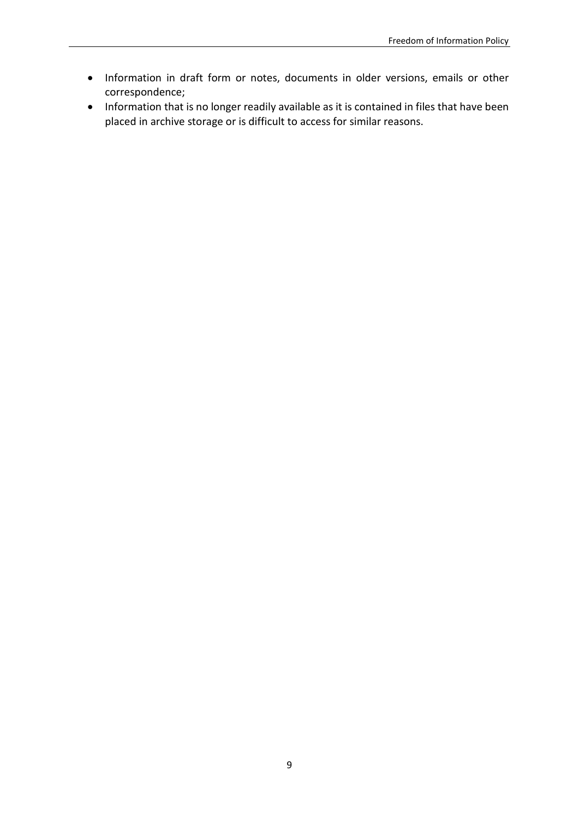- Information in draft form or notes, documents in older versions, emails or other correspondence;
- Information that is no longer readily available as it is contained in files that have been placed in archive storage or is difficult to access for similar reasons.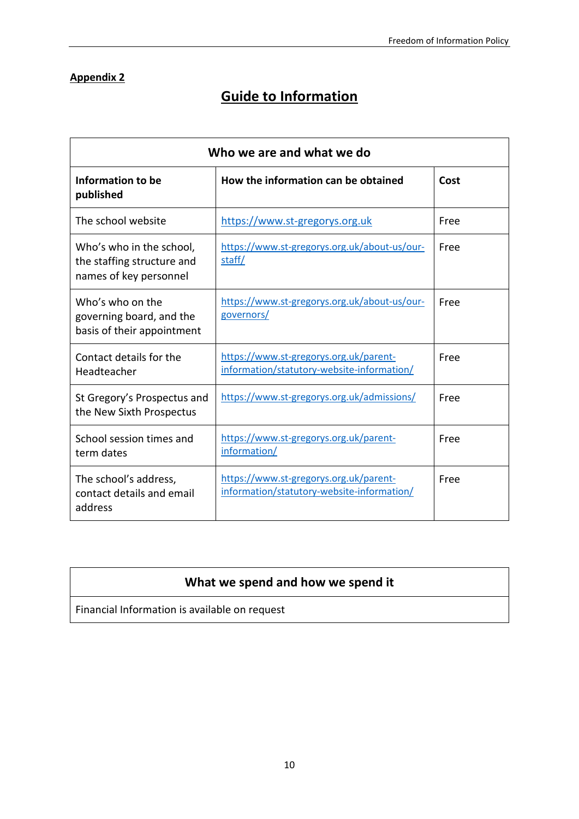#### **Appendix 2**

## **Guide to Information**

| Who we are and what we do                                                        |                                                                                      |      |  |
|----------------------------------------------------------------------------------|--------------------------------------------------------------------------------------|------|--|
| Information to be<br>published                                                   | How the information can be obtained                                                  | Cost |  |
| The school website                                                               | https://www.st-gregorys.org.uk                                                       | Free |  |
| Who's who in the school,<br>the staffing structure and<br>names of key personnel | https://www.st-gregorys.org.uk/about-us/our-<br>staff/                               | Free |  |
| Who's who on the<br>governing board, and the<br>basis of their appointment       | https://www.st-gregorys.org.uk/about-us/our-<br>governors/                           | Free |  |
| Contact details for the<br>Headteacher                                           | https://www.st-gregorys.org.uk/parent-<br>information/statutory-website-information/ | Free |  |
| St Gregory's Prospectus and<br>the New Sixth Prospectus                          | https://www.st-gregorys.org.uk/admissions/                                           | Free |  |
| School session times and<br>term dates                                           | https://www.st-gregorys.org.uk/parent-<br>information/                               | Free |  |
| The school's address,<br>contact details and email<br>address                    | https://www.st-gregorys.org.uk/parent-<br>information/statutory-website-information/ | Free |  |

### **What we spend and how we spend it**

Financial Information is available on request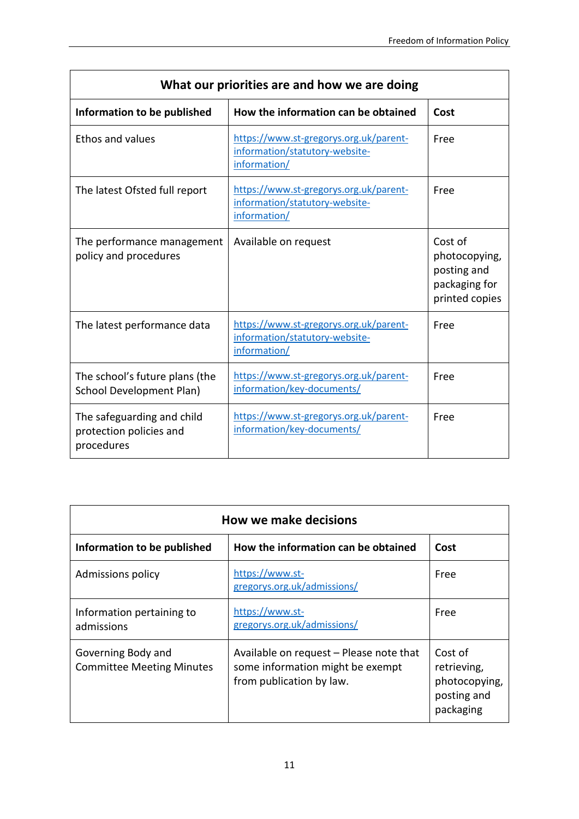| What our priorities are and how we are doing                        |                                                                                          |                                                                            |
|---------------------------------------------------------------------|------------------------------------------------------------------------------------------|----------------------------------------------------------------------------|
| Information to be published                                         | How the information can be obtained                                                      | Cost                                                                       |
| <b>Ethos and values</b>                                             | https://www.st-gregorys.org.uk/parent-<br>information/statutory-website-<br>information/ | Free                                                                       |
| The latest Ofsted full report                                       | https://www.st-gregorys.org.uk/parent-<br>information/statutory-website-<br>information/ | Free                                                                       |
| The performance management<br>policy and procedures                 | Available on request                                                                     | Cost of<br>photocopying,<br>posting and<br>packaging for<br>printed copies |
| The latest performance data                                         | https://www.st-gregorys.org.uk/parent-<br>information/statutory-website-<br>information/ | Free                                                                       |
| The school's future plans (the<br><b>School Development Plan)</b>   | https://www.st-gregorys.org.uk/parent-<br>information/key-documents/                     | Free                                                                       |
| The safeguarding and child<br>protection policies and<br>procedures | https://www.st-gregorys.org.uk/parent-<br>information/key-documents/                     | Free                                                                       |

| <b>How we make decisions</b>                           |                                                                                                         |                                                                     |
|--------------------------------------------------------|---------------------------------------------------------------------------------------------------------|---------------------------------------------------------------------|
| Information to be published                            | How the information can be obtained                                                                     | Cost                                                                |
| Admissions policy                                      | https://www.st-<br>gregorys.org.uk/admissions/                                                          | Free                                                                |
| Information pertaining to<br>admissions                | https://www.st-<br>gregorys.org.uk/admissions/                                                          | Free                                                                |
| Governing Body and<br><b>Committee Meeting Minutes</b> | Available on request - Please note that<br>some information might be exempt<br>from publication by law. | Cost of<br>retrieving,<br>photocopying,<br>posting and<br>packaging |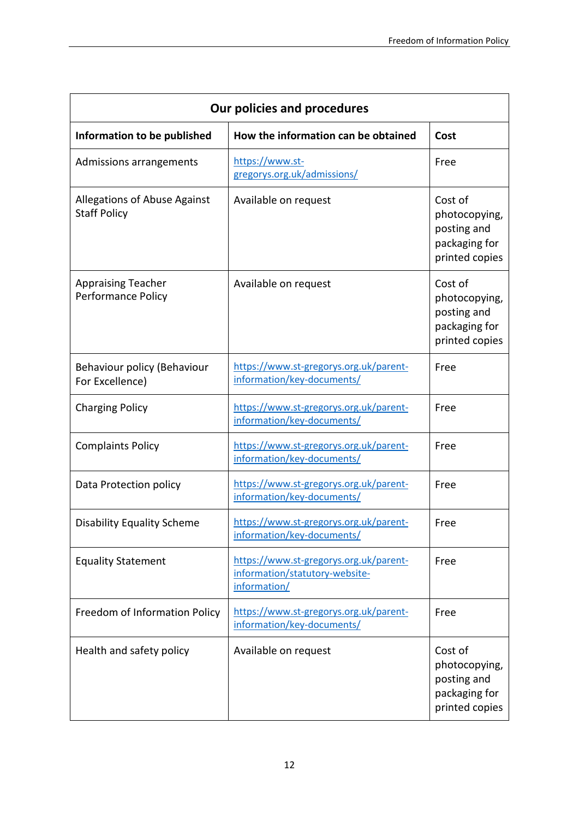| Our policies and procedures                         |                                                                                          |                                                                            |  |
|-----------------------------------------------------|------------------------------------------------------------------------------------------|----------------------------------------------------------------------------|--|
| Information to be published                         | How the information can be obtained                                                      | Cost                                                                       |  |
| Admissions arrangements                             | https://www.st-<br>gregorys.org.uk/admissions/                                           | Free                                                                       |  |
| Allegations of Abuse Against<br><b>Staff Policy</b> | Available on request                                                                     | Cost of<br>photocopying,<br>posting and<br>packaging for<br>printed copies |  |
| <b>Appraising Teacher</b><br>Performance Policy     | Available on request                                                                     | Cost of<br>photocopying,<br>posting and<br>packaging for<br>printed copies |  |
| Behaviour policy (Behaviour<br>For Excellence)      | https://www.st-gregorys.org.uk/parent-<br>information/key-documents/                     | Free                                                                       |  |
| <b>Charging Policy</b>                              | https://www.st-gregorys.org.uk/parent-<br>information/key-documents/                     | Free                                                                       |  |
| <b>Complaints Policy</b>                            | https://www.st-gregorys.org.uk/parent-<br>information/key-documents/                     | Free                                                                       |  |
| Data Protection policy                              | https://www.st-gregorys.org.uk/parent-<br>information/key-documents/                     | Free                                                                       |  |
| <b>Disability Equality Scheme</b>                   | https://www.st-gregorys.org.uk/parent-<br>information/key-documents/                     | Free                                                                       |  |
| <b>Equality Statement</b>                           | https://www.st-gregorys.org.uk/parent-<br>information/statutory-website-<br>information/ | Free                                                                       |  |
| Freedom of Information Policy                       | https://www.st-gregorys.org.uk/parent-<br>information/key-documents/                     | Free                                                                       |  |
| Health and safety policy                            | Available on request                                                                     | Cost of<br>photocopying,<br>posting and<br>packaging for<br>printed copies |  |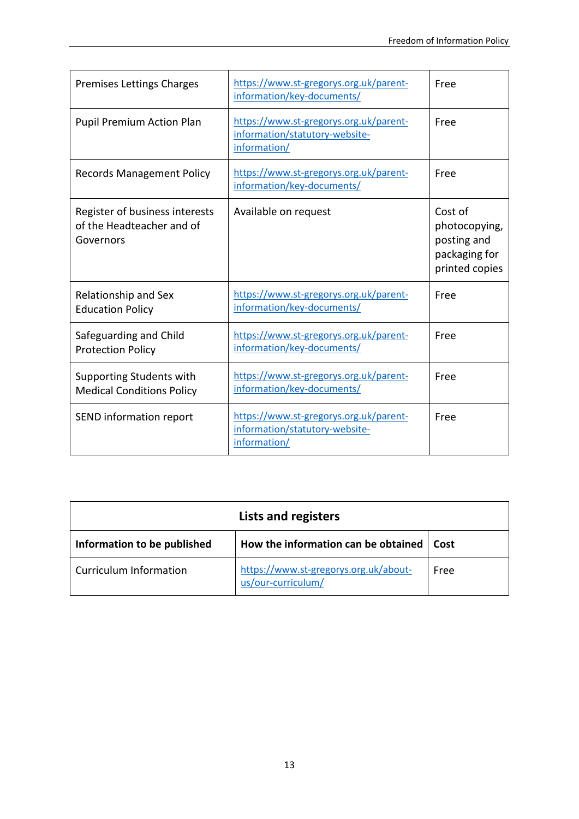| Premises Lettings Charges                                                | https://www.st-gregorys.org.uk/parent-<br>information/key-documents/                     | Free                                                                       |
|--------------------------------------------------------------------------|------------------------------------------------------------------------------------------|----------------------------------------------------------------------------|
| <b>Pupil Premium Action Plan</b>                                         | https://www.st-gregorys.org.uk/parent-<br>information/statutory-website-<br>information/ | Free                                                                       |
| <b>Records Management Policy</b>                                         | https://www.st-gregorys.org.uk/parent-<br>information/key-documents/                     | Free                                                                       |
| Register of business interests<br>of the Headteacher and of<br>Governors | Available on request                                                                     | Cost of<br>photocopying,<br>posting and<br>packaging for<br>printed copies |
| Relationship and Sex<br><b>Education Policy</b>                          | https://www.st-gregorys.org.uk/parent-<br>information/key-documents/                     | Free                                                                       |
| Safeguarding and Child<br><b>Protection Policy</b>                       | https://www.st-gregorys.org.uk/parent-<br>information/key-documents/                     | Free                                                                       |
| Supporting Students with<br><b>Medical Conditions Policy</b>             | https://www.st-gregorys.org.uk/parent-<br>information/key-documents/                     | Free                                                                       |
| SEND information report                                                  | https://www.st-gregorys.org.uk/parent-<br>information/statutory-website-<br>information/ | Free                                                                       |

| <b>Lists and registers</b>    |                                                             |      |
|-------------------------------|-------------------------------------------------------------|------|
| Information to be published   | How the information can be obtained   Cost                  |      |
| <b>Curriculum Information</b> | https://www.st-gregorys.org.uk/about-<br>us/our-curriculum/ | Free |